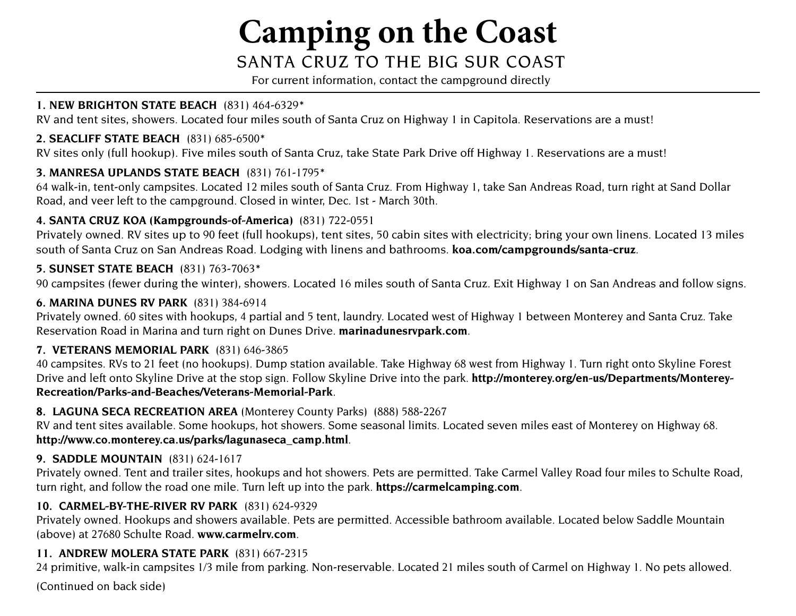# **Camping on the Coast**

# SANTA CRuz To THE Big SuR CoAST

For current information, contact the campground directly

### **1. NEW BRIGHTON STATE BEACH** (831) 464-632[9\\*](#page-1-0)

RV and tent sites, showers. Located four miles south of Santa Cruz on Highway 1 in Capitola. Reservations are a must!

# **2. SEACLIFF STATE BEACH** (831) 685-650[0\\*](#page-1-0)

RV sites only (full hookup). Five miles south of Santa Cruz, take State Park Drive off Highway 1. Reservations are a must!

# **3. MANRESA UPLANDS STATE BEACH** (831) 761-1795[\\*](#page-1-0)

64 walk-in, tent-only campsites. Located 12 miles south of Santa Cruz. From Highway 1, take San Andreas Road, turn right at Sand Dollar Road, and veer left to the campground. Closed in winter, Dec. 1st - March 30th.

# **4. SANTA CRUZ KOA (Kampgrounds-of-America)** (831) 722-0551

 south of Santa Cruz on San Andreas Road. Lodging with linens and bathrooms. **[koa.com/campgrounds/santa-cruz](http://koa.com/campgrounds/santa-cruz.)**. Privately owned. RV sites up to 90 feet (full hookups), tent sites, 50 cabin sites with electricity; bring your own linens. Located 13 miles

# **5. SUNSET STATE BEACH** (831) 763-7063[\\*](#page-1-0)

90 campsites (fewer during the winter), showers. Located 16 miles south of Santa Cruz. Exit Highway 1 on San Andreas and follow signs.

# **6. MARINA DUNES RV PARK** (831) 384-6914

Privately owned. 60 sites with hookups, 4 partial and 5 tent, laundry. Located west of Highway 1 between Monterey and Santa Cruz. Take Reservation Road in Marina and turn right on Dunes Drive. **[marinadunesrvpark.com](http://marinadunesrvpark.com.)**.

#### **7. VETERANS MEMORIAL PARK** (831) 646-3865

40 campsites. RVs to 21 feet (no hookups). Dump station available. Take Highway 68 west from Highway 1. Turn right onto Skyline Forest [Drive and left onto Skyline Drive at the stop sign. Follow Skyline Drive into the park.](http://monterey.org/en-us/Departments/MontereyRecreation/Parks-and-Beaches/Veterans-Memorial-Park.) **http://monterey.org/en-us/Departments/Monterey-Recreation/Parks-and-Beaches/Veterans-Memorial-Park**.

# **8. LAGUNA SECA RECREATION AREA** (Monterey County Parks) (888) 588-2267

RV and tent sites available. Some hookups, hot showers. Some seasonal limits. Located seven miles east of Monterey on Highway 68. **[http://www.co.monterey.ca.us/parks/lagunaseca\\_camp.html](http://www.co.monterey.ca.us/parks/lagunaseca_camp.html.)**.

# **9. SADDLE MOUNTAIN** (831) 624-1617

Privately owned. Tent and trailer sites, hookups and hot showers. Pets are permitted. Take Carmel Valley Road four miles to Schulte Road, turn right, and follow the road one mile. Turn left up into the park. **[https://carmelcamping.com](https://carmelcamping.com.)**.

# **10. CARMEL-BY-THE-RIVER RV PARK** (831) 624-9329

Privately owned. Hookups and showers available. Pets are permitted. Accessible bathroom available. Located below Saddle Mountain (above) at 27680 Schulte Road. **[www.carmelrv.com](http://www.carmelrv.com.)**.

# **11. ANDREW MOLERA STATE PARK** (831) 667-2315

24 primitive, walk-in campsites 1/3 mile from parking. Non-reservable. Located 21 miles south of Carmel on Highway 1. No pets allowed.

(Continued on back side)